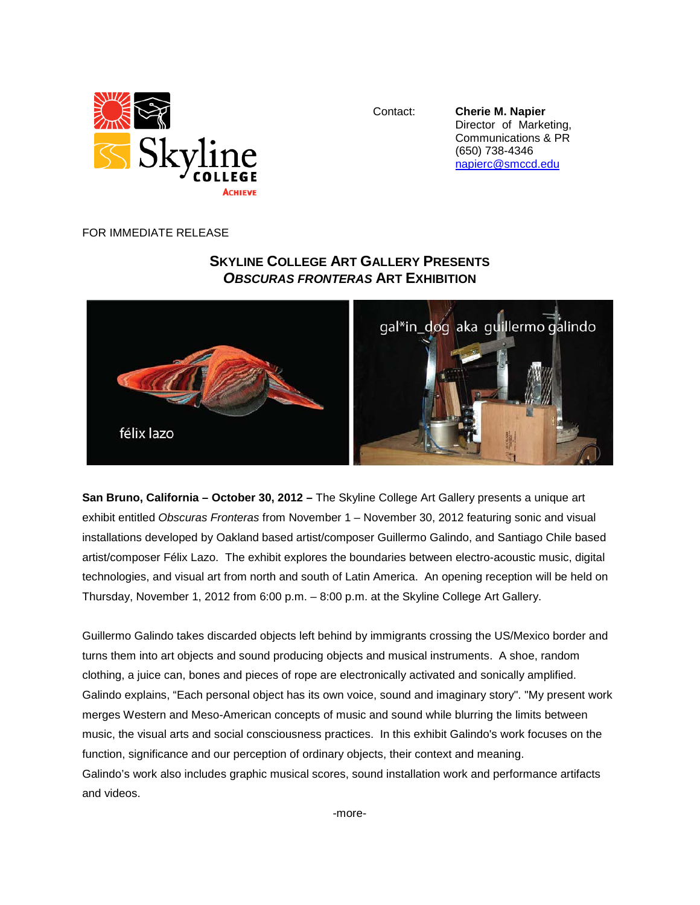

Contact: **Cherie M. Napier** Director of Marketing, Communications & PR (650) 738-4346 [napierc@smccd.edu](mailto:napierc@smccd.edu)

## FOR IMMEDIATE RELEASE

## **SKYLINE COLLEGE ART GALLERY PRESENTS** *OBSCURAS FRONTERAS* **ART EXHIBITION**



**San Bruno, California – October 30, 2012 –** The Skyline College Art Gallery presents a unique art exhibit entitled *Obscuras Fronteras* from November 1 – November 30, 2012 featuring sonic and visual installations developed by Oakland based artist/composer Guillermo Galindo, and Santiago Chile based artist/composer Félix Lazo. The exhibit explores the boundaries between electro-acoustic music, digital technologies, and visual art from north and south of Latin America. An opening reception will be held on Thursday, November 1, 2012 from 6:00 p.m. – 8:00 p.m. at the Skyline College Art Gallery.

Guillermo Galindo takes discarded objects left behind by immigrants crossing the US/Mexico border and turns them into art objects and sound producing objects and musical instruments. A shoe, random clothing, a juice can, bones and pieces of rope are electronically activated and sonically amplified. Galindo explains, "Each personal object has its own voice, sound and imaginary story". "My present work merges Western and Meso-American concepts of music and sound while blurring the limits between music, the visual arts and social consciousness practices. In this exhibit Galindo's work focuses on the function, significance and our perception of ordinary objects, their context and meaning. Galindo's work also includes graphic musical scores, sound installation work and performance artifacts and videos.